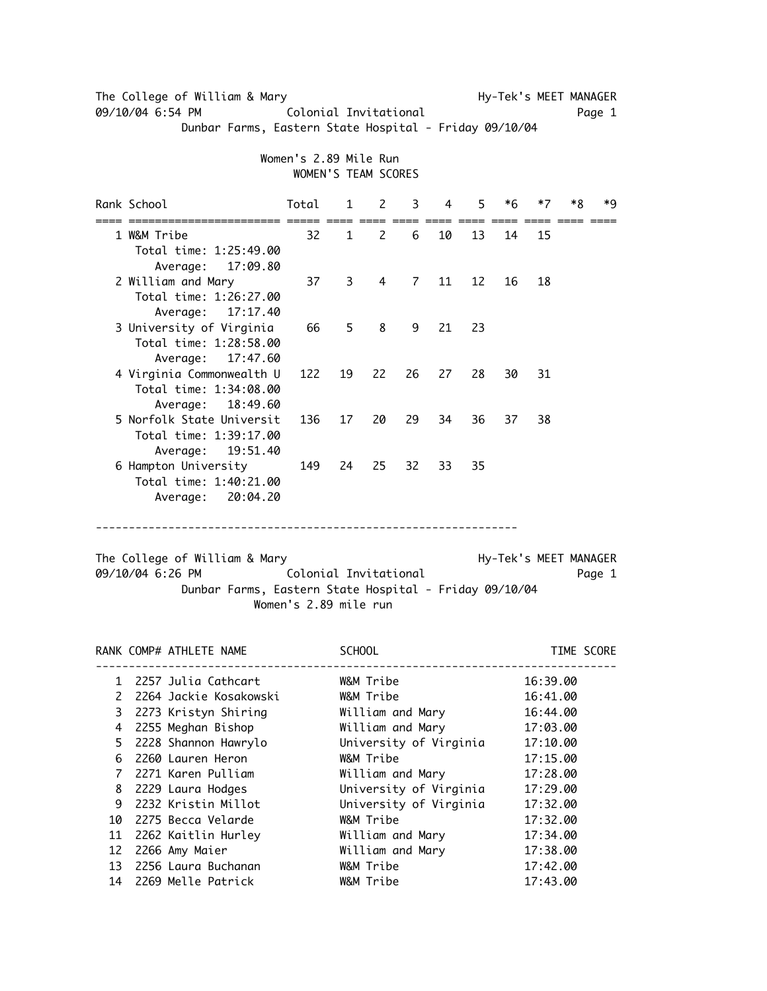The College of William & Mary National College of William & Mary 09/10/04 6:54 PM Colonial Invitational Dege 1 Dunbar Farms, Eastern State Hospital - Friday 09/10/04

> Women's 2.89 Mile Run WOMEN'S TEAM SCORES

|                                                                                                                                                                                                  | Rank School                                                                | Total | $\mathbf{1}$   | 2                        | 3  | 4    | 5. | *6 | $*7$ | *R | *q |
|--------------------------------------------------------------------------------------------------------------------------------------------------------------------------------------------------|----------------------------------------------------------------------------|-------|----------------|--------------------------|----|------|----|----|------|----|----|
|                                                                                                                                                                                                  | 1 W&M Tribe<br>Total time: 1:25:49.00<br>Average: 17:09.80                 | 32    | $\mathbf{1}$   | $\overline{\phantom{0}}$ | 6  | 10   | 13 | 14 | 15   |    |    |
|                                                                                                                                                                                                  | 2 William and Mary<br>Total time: 1:26:27.00<br>Average: 17:17.40          | 37    | $\overline{3}$ | $\overline{4}$           |    | 7 11 | 12 | 16 | 18   |    |    |
|                                                                                                                                                                                                  | 3 University of Virginia<br>Total time: 1:28:58.00<br>Average:<br>17:47.60 | 66    | 5              | 8                        | 9  | 21   | 23 |    |      |    |    |
|                                                                                                                                                                                                  | 4 Virginia Commonwealth U<br>Total time: 1:34:08.00<br>Average: 18:49.60   | 122   | 19             | 22                       | 26 | 27   | 28 | 30 | 31   |    |    |
|                                                                                                                                                                                                  | 5 Norfolk State Universit<br>Total time: 1:39:17.00<br>Average: 19:51.40   | 136   | 17             | 20                       | 29 | 34   | 36 | 37 | 38   |    |    |
|                                                                                                                                                                                                  | 6 Hampton University<br>Total time: 1:40:21.00<br>Average: 20:04.20        |       | 149 24         | 25                       | 32 | 33   | 35 |    |      |    |    |
| The College of William & Mary<br>Hy-Tek's MEET MANAGER<br>09/10/04 6:26 PM<br>Colonial Invitational<br>Page 1<br>Dunbar Farms, Eastern State Hospital - Friday 09/10/04<br>Women's 2.89 mile run |                                                                            |       |                |                          |    |      |    |    |      |    |    |

RANK COMP# ATHLETE NAME SCHOOL SCHOOL SCHOOL TIME SCORE ------------------------------------------------------------------------------- 1 2257 Julia Cathcart W&M Tribe 16:39.00 2 2264 Jackie Kosakowski W&M Tribe 16:41.00 3 2273 Kristyn Shiring William and Mary 16:44.00 4 2255 Meghan Bishop William and Mary 17:03.00 5 2228 Shannon Hawrylo University of Virginia 17:10.00 6 2260 Lauren Heron W&M Tribe 17:15.00 7 2271 Karen Pulliam William and Mary 17:28.00 8 2229 Laura Hodges University of Virginia 17:29.00 9 2232 Kristin Millot University of Virginia 17:32.00 10 2275 Becca Velarde W&M Tribe 17:32.00 11 2262 Kaitlin Hurley William and Mary 17:34.00 12 2266 Amy Maier William and Mary 17:38.00 13 2256 Laura Buchanan W&M Tribe 17:42.00 14 2269 Melle Patrick W&M Tribe 17:43.00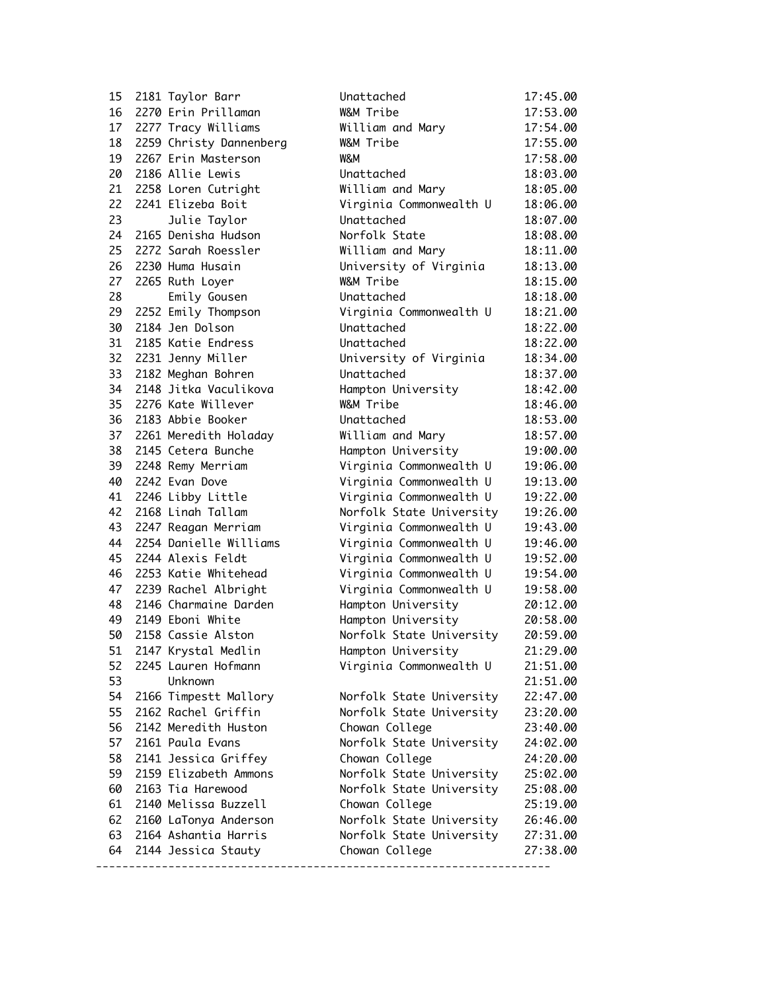| 15 | 2181 Taylor Barr        | Unattached               | 17:45.00 |
|----|-------------------------|--------------------------|----------|
| 16 | 2270 Erin Prillaman     | W&M Tribe                | 17:53.00 |
| 17 | 2277 Tracy Williams     | William and Mary         | 17:54.00 |
| 18 | 2259 Christy Dannenberg | W&M Tribe                | 17:55.00 |
| 19 | 2267 Erin Masterson     | W&M                      | 17:58.00 |
| 20 | 2186 Allie Lewis        | Unattached               | 18:03.00 |
| 21 | 2258 Loren Cutright     | William and Mary         | 18:05.00 |
| 22 | 2241 Elizeba Boit       | Virginia Commonwealth U  | 18:06.00 |
| 23 | Julie Taylor            | Unattached               | 18:07.00 |
| 24 | 2165 Denisha Hudson     | Norfolk State            | 18:08.00 |
| 25 | 2272 Sarah Roessler     | William and Mary         | 18:11.00 |
| 26 | 2230 Huma Husain        | University of Virginia   | 18:13.00 |
| 27 | 2265 Ruth Loyer         | W&M Tribe                | 18:15.00 |
| 28 | Emily Gousen            | Unattached               | 18:18.00 |
| 29 | 2252 Emily Thompson     | Virginia Commonwealth U  | 18:21.00 |
| 30 | 2184 Jen Dolson         | Unattached               | 18:22.00 |
| 31 | 2185 Katie Endress      | Unattached               | 18:22.00 |
| 32 | 2231 Jenny Miller       | University of Virginia   | 18:34.00 |
| 33 | 2182 Meghan Bohren      | Unattached               | 18:37.00 |
| 34 | 2148 Jitka Vaculikova   | Hampton University       | 18:42.00 |
| 35 | 2276 Kate Willever      | W&M Tribe                | 18:46.00 |
| 36 | 2183 Abbie Booker       | Unattached               | 18:53.00 |
| 37 | 2261 Meredith Holaday   | William and Mary         | 18:57.00 |
| 38 | 2145 Cetera Bunche      | Hampton University       | 19:00.00 |
| 39 | 2248 Remy Merriam       | Virginia Commonwealth U  | 19:06.00 |
| 40 | 2242 Evan Dove          | Virginia Commonwealth U  | 19:13.00 |
| 41 | 2246 Libby Little       | Virginia Commonwealth U  | 19:22.00 |
| 42 | 2168 Linah Tallam       | Norfolk State University | 19:26.00 |
| 43 | 2247 Reagan Merriam     | Virginia Commonwealth U  | 19:43.00 |
| 44 | 2254 Danielle Williams  | Virginia Commonwealth U  | 19:46.00 |
| 45 | 2244 Alexis Feldt       | Virginia Commonwealth U  | 19:52.00 |
| 46 | 2253 Katie Whitehead    | Virginia Commonwealth U  | 19:54.00 |
| 47 | 2239 Rachel Albright    | Virginia Commonwealth U  | 19:58.00 |
| 48 | 2146 Charmaine Darden   | Hampton University       | 20:12.00 |
| 49 | 2149 Eboni White        | Hampton University       | 20:58.00 |
| 50 | 2158 Cassie Alston      | Norfolk State University | 20:59.00 |
| 51 | 2147 Krystal Medlin     | Hampton University       | 21:29.00 |
| 52 | 2245 Lauren Hofmann     | Virginia Commonwealth U  | 21:51.00 |
| 53 | Unknown                 |                          | 21:51.00 |
| 54 | 2166 Timpestt Mallory   | Norfolk State University | 22:47.00 |
| 55 | 2162 Rachel Griffin     | Norfolk State University | 23:20.00 |
| 56 | 2142 Meredith Huston    | Chowan College           | 23:40.00 |
| 57 | 2161 Paula Evans        | Norfolk State University | 24:02.00 |
| 58 | 2141 Jessica Griffey    | Chowan College           | 24:20.00 |
| 59 | 2159 Elizabeth Ammons   | Norfolk State University | 25:02.00 |
| 60 | 2163 Tia Harewood       | Norfolk State University | 25:08.00 |
| 61 | 2140 Melissa Buzzell    | Chowan College           | 25:19.00 |
| 62 | 2160 LaTonya Anderson   | Norfolk State University | 26:46.00 |
| 63 | 2164 Ashantia Harris    | Norfolk State University | 27:31.00 |
| 64 | 2144 Jessica Stauty     | Chowan College           | 27:38.00 |
|    |                         |                          |          |